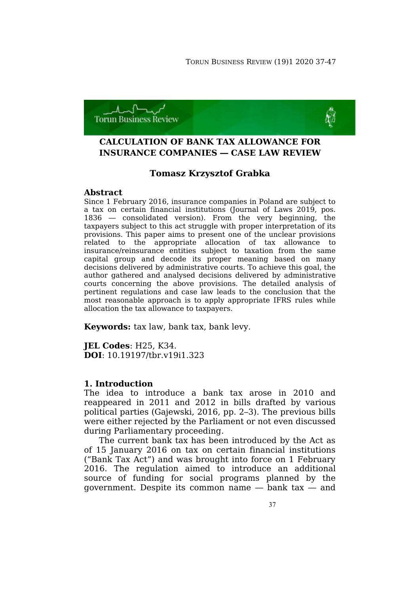

# **CALCULATION OF BANK TAX ALLOWANCE FOR INSURANCE COMPANIES — CASE LAW REVIEW**

# **Tomasz Krzysztof Grabka**

### **Abstract**

Since 1 February 2016, insurance companies in Poland are subject to a tax on certain financial institutions (Journal of Laws 2019, pos. 1836 — consolidated version). From the very beginning, the taxpayers subject to this act struggle with proper interpretation of its provisions. This paper aims to present one of the unclear provisions related to the appropriate allocation of tax allowance to insurance/reinsurance entities subject to taxation from the same capital group and decode its proper meaning based on many decisions delivered by administrative courts. To achieve this goal, the author gathered and analysed decisions delivered by administrative courts concerning the above provisions. The detailed analysis of pertinent regulations and case law leads to the conclusion that the most reasonable approach is to apply appropriate IFRS rules while allocation the tax allowance to taxpayers.

**Keywords:** tax law, bank tax, bank levy.

**JEL Codes**: H25, K34. **DOI**: 10.19197/tbr.v19i1.323

### **1. Introduction**

The idea to introduce a bank tax arose in 2010 and reappeared in 2011 and 2012 in bills drafted by various political parties (Gajewski, 2016, pp. 2–3). The previous bills were either rejected by the Parliament or not even discussed during Parliamentary proceeding.

The current bank tax has been introduced by the Act as of 15 January 2016 on tax on certain financial institutions ("Bank Tax Act") and was brought into force on 1 February 2016. The regulation aimed to introduce an additional source of funding for social programs planned by the government. Despite its common name — bank tax — and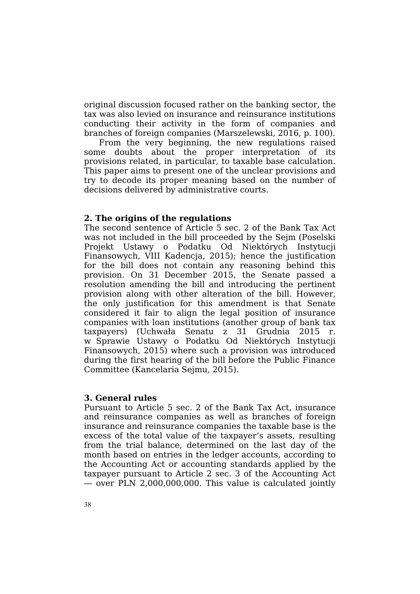original discussion focused rather on the banking sector, the tax was also levied on insurance and reinsurance institutions conducting their activity in the form of companies and branches of foreign companies (Marszelewski, 2016, p. 100).

From the very beginning, the new regulations raised some doubts about the proper interpretation of its provisions related, in particular, to taxable base calculation. This paper aims to present one of the unclear provisions and try to decode its proper meaning based on the number of decisions delivered by administrative courts.

### **2. The origins of the regulations**

The second sentence of Article 5 sec. 2 of the Bank Tax Act was not included in the bill proceeded by the Sejm (Poselski Projekt Ustawy o Podatku Od Niektórych Instytucji Finansowych, VIII Kadencja, 2015); hence the justification for the bill does not contain any reasoning behind this provision. On 31 December 2015, the Senate passed a resolution amending the bill and introducing the pertinent provision along with other alteration of the bill. However, the only justification for this amendment is that Senate considered it fair to align the legal position of insurance companies with loan institutions (another group of bank tax taxpayers) (Uchwała Senatu z 31 Grudnia 2015 r. w Sprawie Ustawy o Podatku Od Niektórych Instytucji Finansowych, 2015) where such a provision was introduced during the first hearing of the bill before the Public Finance Committee (Kancelaria Sejmu, 2015).

### **3. General rules**

Pursuant to Article 5 sec. 2 of the Bank Tax Act, insurance and reinsurance companies as well as branches of foreign insurance and reinsurance companies the taxable base is the excess of the total value of the taxpayer's assets, resulting from the trial balance, determined on the last day of the month based on entries in the ledger accounts, according to the Accounting Act or accounting standards applied by the taxpayer pursuant to Article 2 sec. 3 of the Accounting Act — over PLN 2,000,000,000. This value is calculated jointly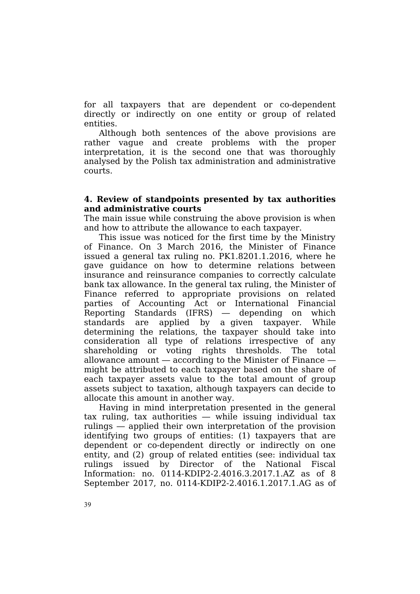for all taxpayers that are dependent or co-dependent directly or indirectly on one entity or group of related entities.

Although both sentences of the above provisions are rather vague and create problems with the proper interpretation, it is the second one that was thoroughly analysed by the Polish tax administration and administrative courts.

# **4. Review of standpoints presented by tax authorities and administrative courts**

The main issue while construing the above provision is when and how to attribute the allowance to each taxpayer.

This issue was noticed for the first time by the Ministry of Finance. On 3 March 2016, the Minister of Finance issued a general tax ruling no. PK1.8201.1.2016, where he gave guidance on how to determine relations between insurance and reinsurance companies to correctly calculate bank tax allowance. In the general tax ruling, the Minister of Finance referred to appropriate provisions on related parties of Accounting Act or International Financial Reporting Standards (IFRS) — depending on which standards are applied by a given taxpayer. While determining the relations, the taxpayer should take into consideration all type of relations irrespective of any shareholding or voting rights thresholds. The total allowance amount — according to the Minister of Finance might be attributed to each taxpayer based on the share of each taxpayer assets value to the total amount of group assets subject to taxation, although taxpayers can decide to allocate this amount in another way.

Having in mind interpretation presented in the general tax ruling, tax authorities — while issuing individual tax rulings — applied their own interpretation of the provision identifying two groups of entities: (1) taxpayers that are dependent or co-dependent directly or indirectly on one entity, and (2) group of related entities (see: individual tax rulings issued by Director of the National Fiscal Information: no. 0114-KDIP2-2.4016.3.2017.1.AZ as of 8 September 2017, no. 0114-KDIP2-2.4016.1.2017.1.AG as of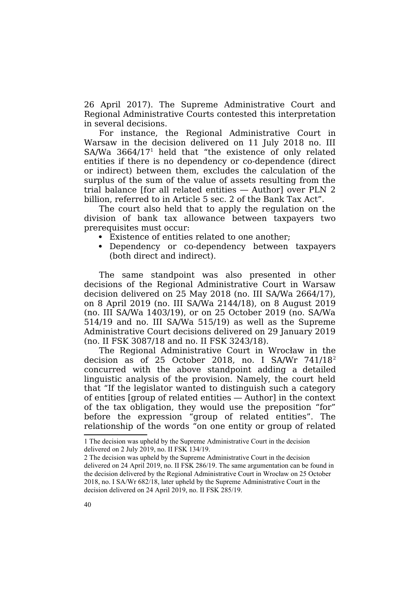26 April 2017). The Supreme Administrative Court and Regional Administrative Courts contested this interpretation in several decisions.

For instance, the Regional Administrative Court in Warsaw in the decision delivered on 11 July 2018 no. III SA/Wa 3664/17[1](#page-3-0) held that "the existence of only related entities if there is no dependency or co-dependence (direct or indirect) between them, excludes the calculation of the surplus of the sum of the value of assets resulting from the trial balance [for all related entities — Author] over PLN 2 billion, referred to in Article 5 sec. 2 of the Bank Tax Act".

The court also held that to apply the regulation on the division of bank tax allowance between taxpayers two prerequisites must occur:

- Existence of entities related to one another;
- Dependency or co-dependency between taxpayers (both direct and indirect).

The same standpoint was also presented in other decisions of the Regional Administrative Court in Warsaw decision delivered on 25 May 2018 (no. III SA/Wa 2664/17), on 8 April 2019 (no. III SA/Wa 2144/18), on 8 August 2019 (no. III SA/Wa 1403/19), or on 25 October 2019 (no. SA/Wa 514/19 and no. III SA/Wa 515/19) as well as the Supreme Administrative Court decisions delivered on 29 January 2019 (no. II FSK 3087/18 and no. II FSK 3243/18).

The Regional Administrative Court in Wrocław in the decision as of [2](#page-3-1)5 October 2018, no. I SA/Wr 741/18<sup>2</sup> concurred with the above standpoint adding a detailed linguistic analysis of the provision. Namely, the court held that "If the legislator wanted to distinguish such a category of entities [group of related entities — Author] in the context of the tax obligation, they would use the preposition "for" before the expression "group of related entities". The relationship of the words "on one entity or group of related

<span id="page-3-0"></span><sup>1</sup> The decision was upheld by the Supreme Administrative Court in the decision delivered on 2 July 2019, no. II FSK 134/19.

<span id="page-3-1"></span><sup>2</sup> The decision was upheld by the Supreme Administrative Court in the decision delivered on 24 April 2019, no. II FSK 286/19. The same argumentation can be found in the decision delivered by the Regional Administrative Court in Wrocław on 25 October 2018, no. I SA/Wr 682/18, later upheld by the Supreme Administrative Court in the decision delivered on 24 April 2019, no. II FSK 285/19.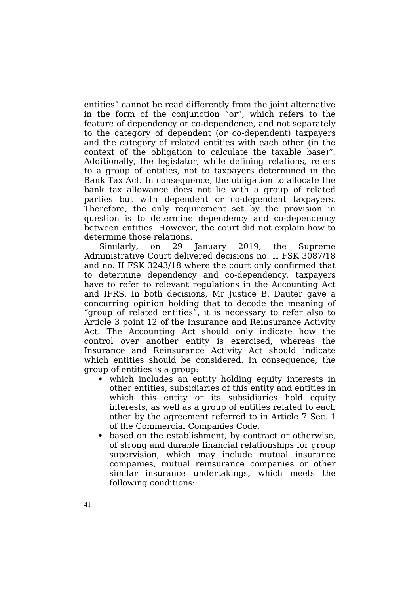entities" cannot be read differently from the joint alternative in the form of the conjunction "or", which refers to the feature of dependency or co-dependence, and not separately to the category of dependent (or co-dependent) taxpayers and the category of related entities with each other (in the context of the obligation to calculate the taxable base)". Additionally, the legislator, while defining relations, refers to a group of entities, not to taxpayers determined in the Bank Tax Act. In consequence, the obligation to allocate the bank tax allowance does not lie with a group of related parties but with dependent or co-dependent taxpayers. Therefore, the only requirement set by the provision in question is to determine dependency and co-dependency between entities. However, the court did not explain how to determine those relations.

Similarly, on 29 January 2019, the Supreme Administrative Court delivered decisions no. II FSK 3087/18 and no. II FSK 3243/18 where the court only confirmed that to determine dependency and co-dependency, taxpayers have to refer to relevant regulations in the Accounting Act and IFRS. In both decisions, Mr Justice B. Dauter gave a concurring opinion holding that to decode the meaning of "group of related entities", it is necessary to refer also to Article 3 point 12 of the Insurance and Reinsurance Activity Act. The Accounting Act should only indicate how the control over another entity is exercised, whereas the Insurance and Reinsurance Activity Act should indicate which entities should be considered. In consequence, the group of entities is a group:

- which includes an entity holding equity interests in other entities, subsidiaries of this entity and entities in which this entity or its subsidiaries hold equity interests, as well as a group of entities related to each other by the agreement referred to in Article 7 Sec. 1 of the Commercial Companies Code,
- based on the establishment, by contract or otherwise, of strong and durable financial relationships for group supervision, which may include mutual insurance companies, mutual reinsurance companies or other similar insurance undertakings, which meets the following conditions: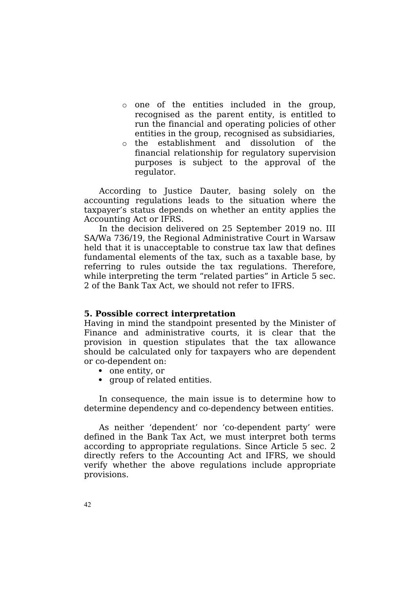- o one of the entities included in the group, recognised as the parent entity, is entitled to run the financial and operating policies of other entities in the group, recognised as subsidiaries,
- o the establishment and dissolution of the financial relationship for regulatory supervision purposes is subject to the approval of the regulator.

According to Justice Dauter, basing solely on the accounting regulations leads to the situation where the taxpayer's status depends on whether an entity applies the Accounting Act or IFRS.

In the decision delivered on 25 September 2019 no. III SA/Wa 736/19, the Regional Administrative Court in Warsaw held that it is unacceptable to construe tax law that defines fundamental elements of the tax, such as a taxable base, by referring to rules outside the tax regulations. Therefore, while interpreting the term "related parties" in Article 5 sec. 2 of the Bank Tax Act, we should not refer to IFRS.

# **5. Possible correct interpretation**

Having in mind the standpoint presented by the Minister of Finance and administrative courts, it is clear that the provision in question stipulates that the tax allowance should be calculated only for taxpayers who are dependent or co-dependent on:

- one entity, or
- group of related entities.

In consequence, the main issue is to determine how to determine dependency and co-dependency between entities.

As neither 'dependent' nor 'co-dependent party' were defined in the Bank Tax Act, we must interpret both terms according to appropriate regulations. Since Article 5 sec. 2 directly refers to the Accounting Act and IFRS, we should verify whether the above regulations include appropriate provisions.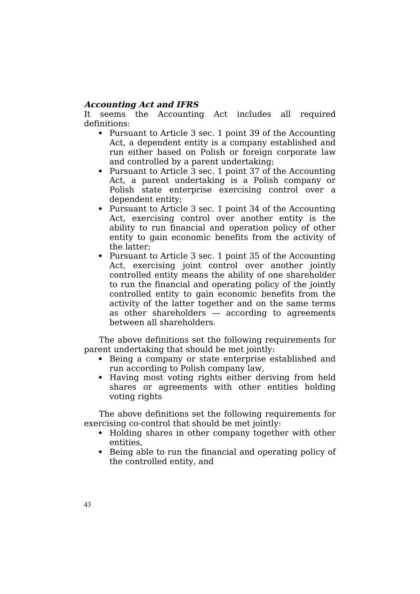# **Accounting Act and IFRS**

It seems the Accounting Act includes all required definitions:

- Pursuant to Article 3 sec. 1 point 39 of the Accounting Act, a dependent entity is a company established and run either based on Polish or foreign corporate law and controlled by a parent undertaking;
- Pursuant to Article 3 sec. 1 point 37 of the Accounting Act, a parent undertaking is a Polish company or Polish state enterprise exercising control over a dependent entity;
- Pursuant to Article 3 sec. 1 point 34 of the Accounting Act, exercising control over another entity is the ability to run financial and operation policy of other entity to gain economic benefits from the activity of the latter;
- Pursuant to Article 3 sec. 1 point 35 of the Accounting Act, exercising joint control over another jointly controlled entity means the ability of one shareholder to run the financial and operating policy of the jointly controlled entity to gain economic benefits from the activity of the latter together and on the same terms as other shareholders — according to agreements between all shareholders.

The above definitions set the following requirements for parent undertaking that should be met jointly:

- Being a company or state enterprise established and run according to Polish company law,
- Having most voting rights either deriving from held shares or agreements with other entities holding voting rights

The above definitions set the following requirements for exercising co-control that should be met jointly:

- Holding shares in other company together with other entities,
- Being able to run the financial and operating policy of the controlled entity, and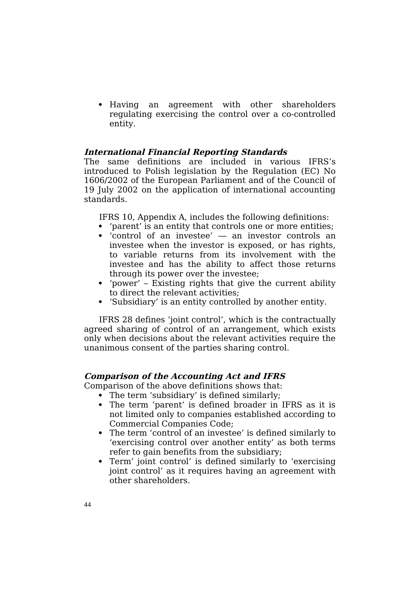Having an agreement with other shareholders regulating exercising the control over a co-controlled entity.

# **International Financial Reporting Standards**

The same definitions are included in various IFRS's introduced to Polish legislation by the Regulation (EC) No 1606/2002 of the European Parliament and of the Council of 19 July 2002 on the application of international accounting standards.

IFRS 10, Appendix A, includes the following definitions:

- 'parent' is an entity that controls one or more entities;
- 'control of an investee' an investor controls an investee when the investor is exposed, or has rights, to variable returns from its involvement with the investee and has the ability to affect those returns through its power over the investee;
- 'power' Existing rights that give the current ability to direct the relevant activities;
- 'Subsidiary' is an entity controlled by another entity.

IFRS 28 defines 'joint control', which is the contractually agreed sharing of control of an arrangement, which exists only when decisions about the relevant activities require the unanimous consent of the parties sharing control.

# **Comparison of the Accounting Act and IFRS**

Comparison of the above definitions shows that:

- The term 'subsidiary' is defined similarly;
- The term 'parent' is defined broader in IFRS as it is not limited only to companies established according to Commercial Companies Code;
- The term 'control of an investee' is defined similarly to 'exercising control over another entity' as both terms refer to gain benefits from the subsidiary;
- Term' joint control' is defined similarly to 'exercising joint control' as it requires having an agreement with other shareholders.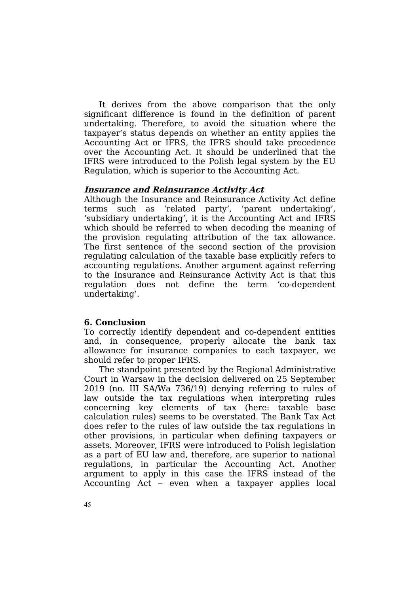It derives from the above comparison that the only significant difference is found in the definition of parent undertaking. Therefore, to avoid the situation where the taxpayer's status depends on whether an entity applies the Accounting Act or IFRS, the IFRS should take precedence over the Accounting Act. It should be underlined that the IFRS were introduced to the Polish legal system by the EU Regulation, which is superior to the Accounting Act.

### **Insurance and Reinsurance Activity Act**

Although the Insurance and Reinsurance Activity Act define terms such as 'related party', 'parent undertaking', 'subsidiary undertaking', it is the Accounting Act and IFRS which should be referred to when decoding the meaning of the provision regulating attribution of the tax allowance. The first sentence of the second section of the provision regulating calculation of the taxable base explicitly refers to accounting regulations. Another argument against referring to the Insurance and Reinsurance Activity Act is that this regulation does not define the term 'co-dependent undertaking'.

### **6. Conclusion**

To correctly identify dependent and co-dependent entities and, in consequence, properly allocate the bank tax allowance for insurance companies to each taxpayer, we should refer to proper IFRS.

The standpoint presented by the Regional Administrative Court in Warsaw in the decision delivered on 25 September 2019 (no. III SA/Wa 736/19) denying referring to rules of law outside the tax regulations when interpreting rules concerning key elements of tax (here: taxable base calculation rules) seems to be overstated. The Bank Tax Act does refer to the rules of law outside the tax regulations in other provisions, in particular when defining taxpayers or assets. Moreover, IFRS were introduced to Polish legislation as a part of EU law and, therefore, are superior to national regulations, in particular the Accounting Act. Another argument to apply in this case the IFRS instead of the Accounting Act – even when a taxpayer applies local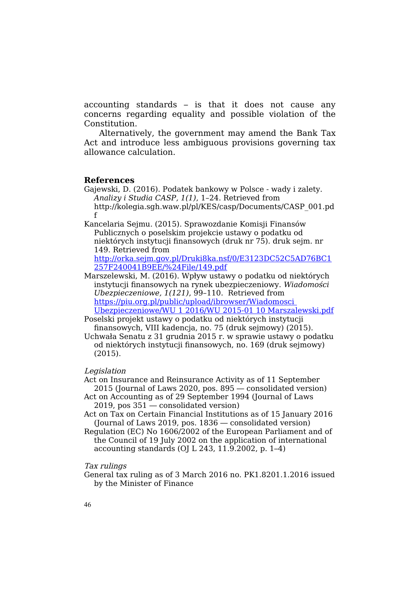accounting standards – is that it does not cause any concerns regarding equality and possible violation of the Constitution.

Alternatively, the government may amend the Bank Tax Act and introduce less ambiguous provisions governing tax allowance calculation.

#### **References**

- Gajewski, D. (2016). Podatek bankowy w Polsce wady i zalety. *Analizy i Studia CASP, 1(1)*, 1–24. Retrieved from http://kolegia.sgh.waw.pl/pl/KES/casp/Documents/CASP\_001.pd f
- Kancelaria Sejmu. (2015). Sprawozdanie Komisji Finansów Publicznych o poselskim projekcie ustawy o podatku od niektórych instytucji finansowych (druk nr 75). druk sejm. nr 149. Retrieved from [http://orka.sejm.gov.pl/Druki8ka.nsf/0/E3123DC52C5AD76BC1](http://orka.sejm.gov.pl/Druki8ka.nsf/0/E3123DC52C5AD76BC1257F240041B9EE/$File/149.pdf) [257F240041B9EE/%24File/149.pdf](http://orka.sejm.gov.pl/Druki8ka.nsf/0/E3123DC52C5AD76BC1257F240041B9EE/$File/149.pdf)
- Marszelewski, M. (2016). Wpływ ustawy o podatku od niektórych instytucji finansowych na rynek ubezpieczeniowy. *Wiadomości Ubezpieczeniowe, 1(121)*, 99–110. Retrieved from [https://piu.org.pl/public/upload/ibrowser/Wiadomosci](https://piu.org.pl/public/upload/ibrowser/Wiadomosci%20Ubezpieczeniowe/WU%201%202016/WU%202015-01%2010%20Marszalewski.pdf)  [Ubezpieczeniowe/WU 1 2016/WU 2015-01 10 Marszalewski.pdf](https://piu.org.pl/public/upload/ibrowser/Wiadomosci%20Ubezpieczeniowe/WU%201%202016/WU%202015-01%2010%20Marszalewski.pdf)

Poselski projekt ustawy o podatku od niektórych instytucji

finansowych, VIII kadencja, no. 75 (druk sejmowy) (2015). Uchwała Senatu z 31 grudnia 2015 r. w sprawie ustawy o podatku od niektórych instytucji finansowych, no. 169 (druk sejmowy) (2015).

#### Legislation

Act on Insurance and Reinsurance Activity as of 11 September 2015 (Journal of Laws 2020, pos. 895 — consolidated version)

Act on Accounting as of 29 September 1994 (Journal of Laws 2019, pos 351 — consolidated version)

Act on Tax on Certain Financial Institutions as of 15 January 2016 (Journal of Laws 2019, pos. 1836 — consolidated version)

Regulation (EC) No 1606/2002 of the European Parliament and of the Council of 19 July 2002 on the application of international accounting standards (OJ L 243, 11.9.2002, p. 1–4)

#### Tax rulings

General tax ruling as of 3 March 2016 no. PK1.8201.1.2016 issued by the Minister of Finance